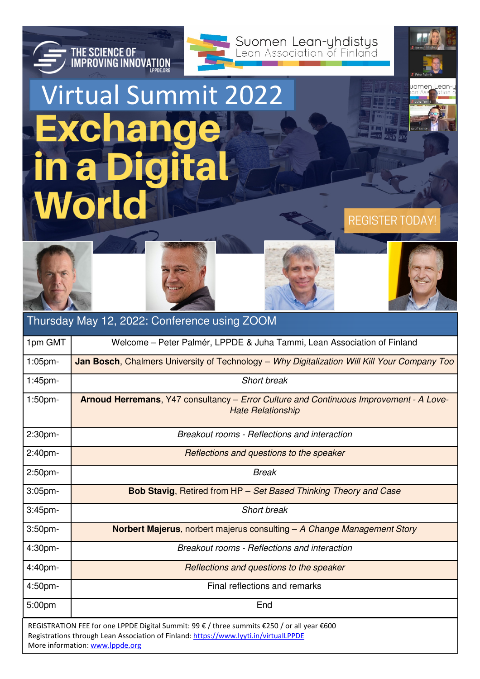

Lean

omen

**REGISTER TODAY!** 

## Virtual Summit 2022**Exchange Digita** in a **World**

**THE SCIENCE OF<br>IMPROVING INNOVATION** 



| Thursday May 12, 2022: Conference using ZOOM                                                                                                                                                                           |                                                                                                                           |
|------------------------------------------------------------------------------------------------------------------------------------------------------------------------------------------------------------------------|---------------------------------------------------------------------------------------------------------------------------|
| 1pm GMT                                                                                                                                                                                                                | Welcome – Peter Palmér, LPPDE & Juha Tammi, Lean Association of Finland                                                   |
| $1:05$ pm-                                                                                                                                                                                                             | Jan Bosch, Chalmers University of Technology - Why Digitalization Will Kill Your Company Too                              |
| 1:45pm-                                                                                                                                                                                                                | Short break                                                                                                               |
| $1:50$ pm-                                                                                                                                                                                                             | <b>Arnoud Herremans, Y47 consultancy – Error Culture and Continuous Improvement - A Love-</b><br><b>Hate Relationship</b> |
| 2:30pm-                                                                                                                                                                                                                | Breakout rooms - Reflections and interaction                                                                              |
| 2:40 <sub>pm</sub>                                                                                                                                                                                                     | Reflections and questions to the speaker                                                                                  |
| 2:50 <sub>pm</sub>                                                                                                                                                                                                     | <b>Break</b>                                                                                                              |
| $3:05$ pm-                                                                                                                                                                                                             | <b>Bob Stavig, Retired from HP</b> - Set Based Thinking Theory and Case                                                   |
| $3:45$ pm-                                                                                                                                                                                                             | Short break                                                                                                               |
| $3:50$ pm-                                                                                                                                                                                                             | <b>Norbert Majerus, norbert majerus consulting – A Change Management Story</b>                                            |
| 4:30pm-                                                                                                                                                                                                                | Breakout rooms - Reflections and interaction                                                                              |
| 4:40pm-                                                                                                                                                                                                                | Reflections and questions to the speaker                                                                                  |
| 4:50pm-                                                                                                                                                                                                                | Final reflections and remarks                                                                                             |
| 5:00pm                                                                                                                                                                                                                 | End                                                                                                                       |
| REGISTRATION FEE for one LPPDE Digital Summit: 99 € / three summits €250 / or all year €600<br>Registrations through Lean Association of Finland: https://www.lyyti.in/virtualLPPDE<br>More information: www.lppde.org |                                                                                                                           |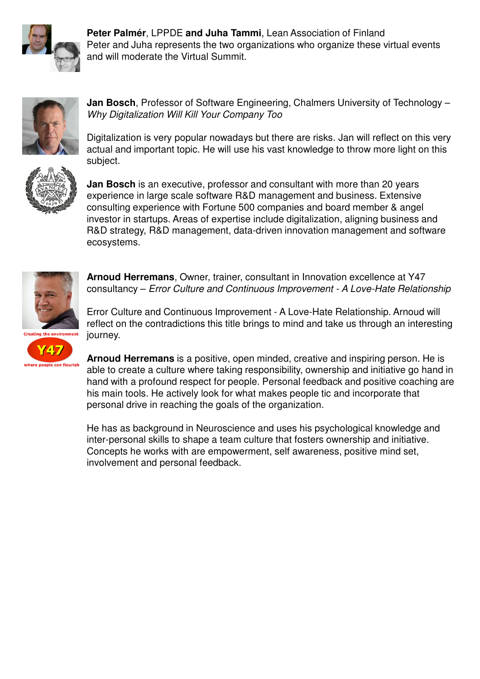

**Peter Palmér**, LPPDE **and Juha Tammi**, Lean Association of Finland Peter and Juha represents the two organizations who organize these virtual events and will moderate the Virtual Summit.



**Jan Bosch**, Professor of Software Engineering, Chalmers University of Technology – Why Digitalization Will Kill Your Company Too



Digitalization is very popular nowadays but there are risks. Jan will reflect on this very actual and important topic. He will use his vast knowledge to throw more light on this subject.



**Jan Bosch** is an executive, professor and consultant with more than 20 years experience in large scale software R&D management and business. Extensive consulting experience with Fortune 500 companies and board member & angel investor in startups. Areas of expertise include digitalization, aligning business and R&D strategy, R&D management, data-driven innovation management and software ecosystems.



**Arnoud Herremans**, Owner, trainer, consultant in Innovation excellence at Y47 consultancy – Error Culture and Continuous Improvement - A Love-Hate Relationship

Error Culture and Continuous Improvement - A Love-Hate Relationship. Arnoud will reflect on the contradictions this title brings to mind and take us through an interesting journey.

**Arnoud Herremans** is a positive, open minded, creative and inspiring person. He is able to create a culture where taking responsibility, ownership and initiative go hand in hand with a profound respect for people. Personal feedback and positive coaching are his main tools. He actively look for what makes people tic and incorporate that personal drive in reaching the goals of the organization.

He has as background in Neuroscience and uses his psychological knowledge and inter-personal skills to shape a team culture that fosters ownership and initiative. Concepts he works with are empowerment, self awareness, positive mind set, involvement and personal feedback.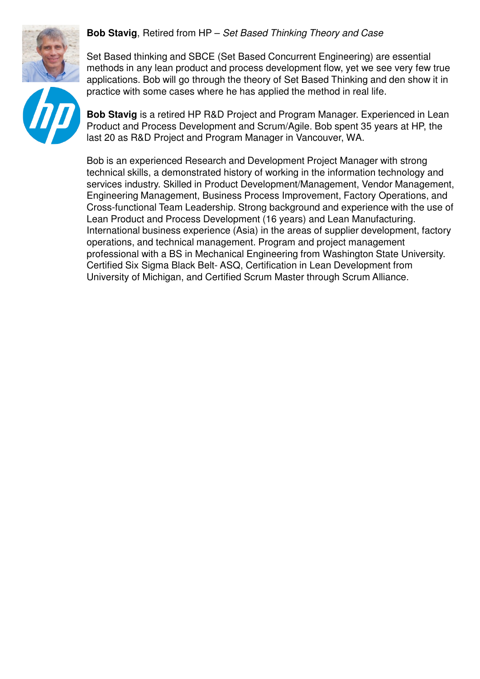

Set Based thinking and SBCE (Set Based Concurrent Engineering) are essential methods in any lean product and process development flow, yet we see very few true applications. Bob will go through the theory of Set Based Thinking and den show it in practice with some cases where he has applied the method in real life.

**Bob Stavig** is a retired HP R&D Project and Program Manager. Experienced in Lean Product and Process Development and Scrum/Agile. Bob spent 35 years at HP, the last 20 as R&D Project and Program Manager in Vancouver, WA.

Bob is an experienced Research and Development Project Manager with strong technical skills, a demonstrated history of working in the information technology and services industry. Skilled in Product Development/Management, Vendor Management, Engineering Management, Business Process Improvement, Factory Operations, and Cross-functional Team Leadership. Strong background and experience with the use of Lean Product and Process Development (16 years) and Lean Manufacturing. International business experience (Asia) in the areas of supplier development, factory operations, and technical management. Program and project management professional with a BS in Mechanical Engineering from Washington State University. Certified Six Sigma Black Belt- ASQ, Certification in Lean Development from University of Michigan, and Certified Scrum Master through Scrum Alliance.